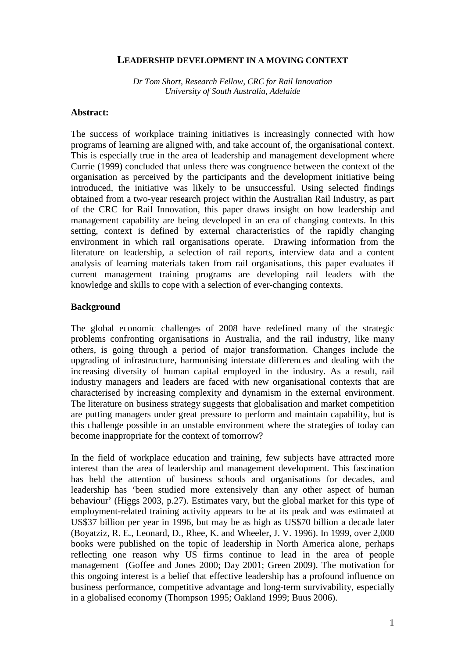### **LEADERSHIP DEVELOPMENT IN A MOVING CONTEXT**

*Dr Tom Short, Research Fellow, CRC for Rail Innovation University of South Australia, Adelaide* 

#### **Abstract:**

The success of workplace training initiatives is increasingly connected with how programs of learning are aligned with, and take account of, the organisational context. This is especially true in the area of leadership and management development where Currie (1999) concluded that unless there was congruence between the context of the organisation as perceived by the participants and the development initiative being introduced, the initiative was likely to be unsuccessful. Using selected findings obtained from a two-year research project within the Australian Rail Industry, as part of the CRC for Rail Innovation, this paper draws insight on how leadership and management capability are being developed in an era of changing contexts. In this setting, context is defined by external characteristics of the rapidly changing environment in which rail organisations operate. Drawing information from the literature on leadership, a selection of rail reports, interview data and a content analysis of learning materials taken from rail organisations, this paper evaluates if current management training programs are developing rail leaders with the knowledge and skills to cope with a selection of ever-changing contexts.

### **Background**

The global economic challenges of 2008 have redefined many of the strategic problems confronting organisations in Australia, and the rail industry, like many others, is going through a period of major transformation. Changes include the upgrading of infrastructure, harmonising interstate differences and dealing with the increasing diversity of human capital employed in the industry. As a result, rail industry managers and leaders are faced with new organisational contexts that are characterised by increasing complexity and dynamism in the external environment. The literature on business strategy suggests that globalisation and market competition are putting managers under great pressure to perform and maintain capability, but is this challenge possible in an unstable environment where the strategies of today can become inappropriate for the context of tomorrow?

In the field of workplace education and training, few subjects have attracted more interest than the area of leadership and management development. This fascination has held the attention of business schools and organisations for decades, and leadership has 'been studied more extensively than any other aspect of human behaviour' (Higgs 2003, p.27). Estimates vary, but the global market for this type of employment-related training activity appears to be at its peak and was estimated at US\$37 billion per year in 1996, but may be as high as US\$70 billion a decade later (Boyatziz, R. E., Leonard, D., Rhee, K. and Wheeler, J. V. 1996). In 1999, over 2,000 books were published on the topic of leadership in North America alone, perhaps reflecting one reason why US firms continue to lead in the area of people management (Goffee and Jones 2000; Day 2001; Green 2009). The motivation for this ongoing interest is a belief that effective leadership has a profound influence on business performance, competitive advantage and long-term survivability, especially in a globalised economy (Thompson 1995; Oakland 1999; Buus 2006).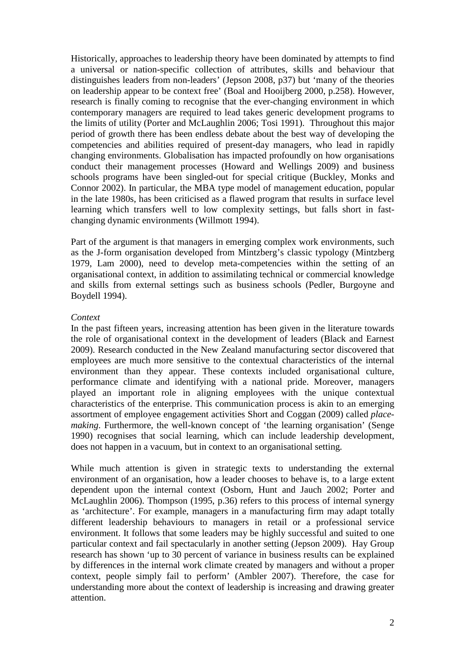Historically, approaches to leadership theory have been dominated by attempts to find a universal or nation-specific collection of attributes, skills and behaviour that distinguishes leaders from non-leaders' (Jepson 2008, p37) but 'many of the theories on leadership appear to be context free' (Boal and Hooijberg 2000, p.258). However, research is finally coming to recognise that the ever-changing environment in which contemporary managers are required to lead takes generic development programs to the limits of utility (Porter and McLaughlin 2006; Tosi 1991). Throughout this major period of growth there has been endless debate about the best way of developing the competencies and abilities required of present-day managers, who lead in rapidly changing environments. Globalisation has impacted profoundly on how organisations conduct their management processes (Howard and Wellings 2009) and business schools programs have been singled-out for special critique (Buckley, Monks and Connor 2002). In particular, the MBA type model of management education, popular in the late 1980s, has been criticised as a flawed program that results in surface level learning which transfers well to low complexity settings, but falls short in fastchanging dynamic environments (Willmott 1994).

Part of the argument is that managers in emerging complex work environments, such as the J-form organisation developed from Mintzberg's classic typology (Mintzberg 1979, Lam 2000), need to develop meta-competencies within the setting of an organisational context, in addition to assimilating technical or commercial knowledge and skills from external settings such as business schools (Pedler, Burgoyne and Boydell 1994).

### *Context*

In the past fifteen years, increasing attention has been given in the literature towards the role of organisational context in the development of leaders (Black and Earnest 2009). Research conducted in the New Zealand manufacturing sector discovered that employees are much more sensitive to the contextual characteristics of the internal environment than they appear. These contexts included organisational culture, performance climate and identifying with a national pride. Moreover, managers played an important role in aligning employees with the unique contextual characteristics of the enterprise. This communication process is akin to an emerging assortment of employee engagement activities Short and Coggan (2009) called *placemaking*. Furthermore, the well-known concept of 'the learning organisation' (Senge 1990) recognises that social learning, which can include leadership development, does not happen in a vacuum, but in context to an organisational setting.

While much attention is given in strategic texts to understanding the external environment of an organisation, how a leader chooses to behave is, to a large extent dependent upon the internal context (Osborn, Hunt and Jauch 2002; Porter and McLaughlin 2006). Thompson (1995, p.36) refers to this process of internal synergy as 'architecture'. For example, managers in a manufacturing firm may adapt totally different leadership behaviours to managers in retail or a professional service environment. It follows that some leaders may be highly successful and suited to one particular context and fail spectacularly in another setting (Jepson 2009). Hay Group research has shown 'up to 30 percent of variance in business results can be explained by differences in the internal work climate created by managers and without a proper context, people simply fail to perform' (Ambler 2007). Therefore, the case for understanding more about the context of leadership is increasing and drawing greater attention.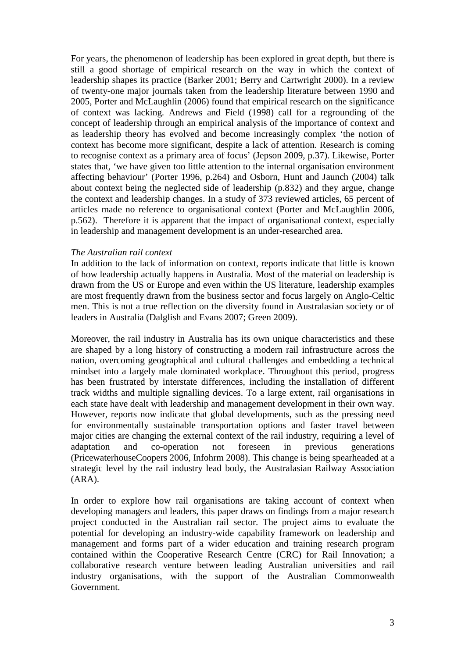For years, the phenomenon of leadership has been explored in great depth, but there is still a good shortage of empirical research on the way in which the context of leadership shapes its practice (Barker 2001; Berry and Cartwright 2000). In a review of twenty-one major journals taken from the leadership literature between 1990 and 2005, Porter and McLaughlin (2006) found that empirical research on the significance of context was lacking. Andrews and Field (1998) call for a regrounding of the concept of leadership through an empirical analysis of the importance of context and as leadership theory has evolved and become increasingly complex 'the notion of context has become more significant, despite a lack of attention. Research is coming to recognise context as a primary area of focus' (Jepson 2009, p.37). Likewise, Porter states that, 'we have given too little attention to the internal organisation environment affecting behaviour' (Porter 1996, p.264) and Osborn, Hunt and Jaunch (2004) talk about context being the neglected side of leadership (p.832) and they argue, change the context and leadership changes. In a study of 373 reviewed articles, 65 percent of articles made no reference to organisational context (Porter and McLaughlin 2006, p.562). Therefore it is apparent that the impact of organisational context, especially in leadership and management development is an under-researched area.

### *The Australian rail context*

In addition to the lack of information on context, reports indicate that little is known of how leadership actually happens in Australia. Most of the material on leadership is drawn from the US or Europe and even within the US literature, leadership examples are most frequently drawn from the business sector and focus largely on Anglo-Celtic men. This is not a true reflection on the diversity found in Australasian society or of leaders in Australia (Dalglish and Evans 2007; Green 2009).

Moreover, the rail industry in Australia has its own unique characteristics and these are shaped by a long history of constructing a modern rail infrastructure across the nation, overcoming geographical and cultural challenges and embedding a technical mindset into a largely male dominated workplace. Throughout this period, progress has been frustrated by interstate differences, including the installation of different track widths and multiple signalling devices. To a large extent, rail organisations in each state have dealt with leadership and management development in their own way. However, reports now indicate that global developments, such as the pressing need for environmentally sustainable transportation options and faster travel between major cities are changing the external context of the rail industry, requiring a level of adaptation and co-operation not foreseen in previous generations (PricewaterhouseCoopers 2006, Infohrm 2008). This change is being spearheaded at a strategic level by the rail industry lead body, the Australasian Railway Association (ARA).

In order to explore how rail organisations are taking account of context when developing managers and leaders, this paper draws on findings from a major research project conducted in the Australian rail sector. The project aims to evaluate the potential for developing an industry-wide capability framework on leadership and management and forms part of a wider education and training research program contained within the Cooperative Research Centre (CRC) for Rail Innovation; a collaborative research venture between leading Australian universities and rail industry organisations, with the support of the Australian Commonwealth Government.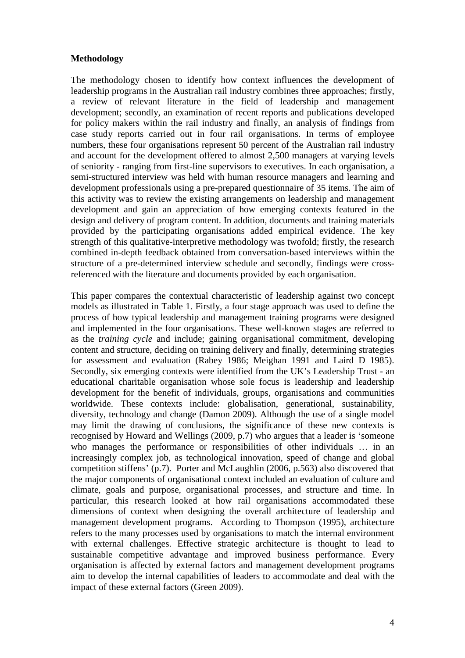# **Methodology**

The methodology chosen to identify how context influences the development of leadership programs in the Australian rail industry combines three approaches; firstly, a review of relevant literature in the field of leadership and management development; secondly, an examination of recent reports and publications developed for policy makers within the rail industry and finally, an analysis of findings from case study reports carried out in four rail organisations. In terms of employee numbers, these four organisations represent 50 percent of the Australian rail industry and account for the development offered to almost 2,500 managers at varying levels of seniority - ranging from first-line supervisors to executives. In each organisation, a semi-structured interview was held with human resource managers and learning and development professionals using a pre-prepared questionnaire of 35 items. The aim of this activity was to review the existing arrangements on leadership and management development and gain an appreciation of how emerging contexts featured in the design and delivery of program content. In addition, documents and training materials provided by the participating organisations added empirical evidence. The key strength of this qualitative-interpretive methodology was twofold; firstly, the research combined in-depth feedback obtained from conversation-based interviews within the structure of a pre-determined interview schedule and secondly, findings were crossreferenced with the literature and documents provided by each organisation.

This paper compares the contextual characteristic of leadership against two concept models as illustrated in Table 1. Firstly, a four stage approach was used to define the process of how typical leadership and management training programs were designed and implemented in the four organisations. These well-known stages are referred to as the *training cycle* and include; gaining organisational commitment, developing content and structure, deciding on training delivery and finally, determining strategies for assessment and evaluation (Rabey 1986; Meighan 1991 and Laird D 1985). Secondly, six emerging contexts were identified from the UK's Leadership Trust - an educational charitable organisation whose sole focus is leadership and leadership development for the benefit of individuals, groups, organisations and communities worldwide. These contexts include: globalisation, generational, sustainability, diversity, technology and change (Damon 2009). Although the use of a single model may limit the drawing of conclusions, the significance of these new contexts is recognised by Howard and Wellings (2009, p.7) who argues that a leader is 'someone who manages the performance or responsibilities of other individuals ... in an increasingly complex job, as technological innovation, speed of change and global competition stiffens' (p.7). Porter and McLaughlin (2006, p.563) also discovered that the major components of organisational context included an evaluation of culture and climate, goals and purpose, organisational processes, and structure and time. In particular, this research looked at how rail organisations accommodated these dimensions of context when designing the overall architecture of leadership and management development programs. According to Thompson (1995), architecture refers to the many processes used by organisations to match the internal environment with external challenges. Effective strategic architecture is thought to lead to sustainable competitive advantage and improved business performance. Every organisation is affected by external factors and management development programs aim to develop the internal capabilities of leaders to accommodate and deal with the impact of these external factors (Green 2009).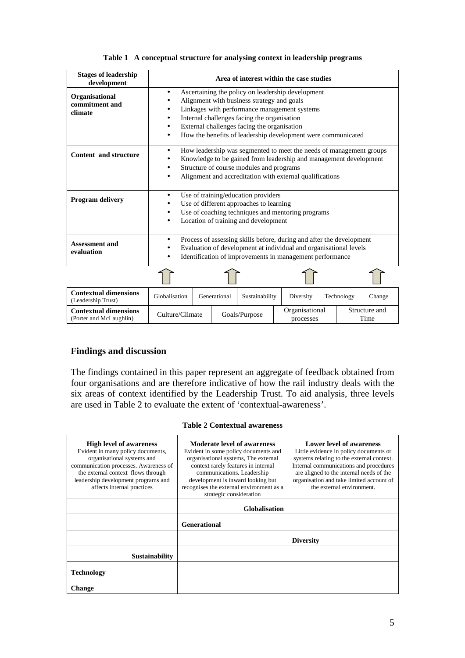| Table 1 A conceptual structure for analysing context in leadership programs |  |  |  |  |  |  |  |
|-----------------------------------------------------------------------------|--|--|--|--|--|--|--|
|-----------------------------------------------------------------------------|--|--|--|--|--|--|--|

| <b>Stages of leadership</b><br>development         |                                                                                                                                                                                                                                                                                                                    |                                                                                                                                                                                                                                                  | Area of interest within the case studies |           |            |        |
|----------------------------------------------------|--------------------------------------------------------------------------------------------------------------------------------------------------------------------------------------------------------------------------------------------------------------------------------------------------------------------|--------------------------------------------------------------------------------------------------------------------------------------------------------------------------------------------------------------------------------------------------|------------------------------------------|-----------|------------|--------|
| Organisational<br>commitment and<br>climate        | Ascertaining the policy on leadership development<br>Alignment with business strategy and goals<br>Linkages with performance management systems<br>٠<br>Internal challenges facing the organisation<br>External challenges facing the organisation<br>How the benefits of leadership development were communicated |                                                                                                                                                                                                                                                  |                                          |           |            |        |
| Content and structure                              | ٠                                                                                                                                                                                                                                                                                                                  | How leadership was segmented to meet the needs of management groups<br>Knowledge to be gained from leadership and management development<br>Structure of course modules and programs<br>Alignment and accreditation with external qualifications |                                          |           |            |        |
| Program delivery                                   | $\bullet$                                                                                                                                                                                                                                                                                                          | Use of training/education providers<br>Use of different approaches to learning<br>Use of coaching techniques and mentoring programs<br>Location of training and development                                                                      |                                          |           |            |        |
| <b>Assessment and</b><br>evaluation                | Process of assessing skills before, during and after the development<br>$\bullet$<br>Evaluation of development at individual and organisational levels<br>Identification of improvements in management performance                                                                                                 |                                                                                                                                                                                                                                                  |                                          |           |            |        |
|                                                    |                                                                                                                                                                                                                                                                                                                    |                                                                                                                                                                                                                                                  |                                          |           |            |        |
| <b>Contextual dimensions</b><br>(Leadership Trust) | Globalisation                                                                                                                                                                                                                                                                                                      | Generational                                                                                                                                                                                                                                     | Sustainability                           | Diversity | Technology | Change |

# **Findings and discussion**

The findings contained in this paper represent an aggregate of feedback obtained from four organisations and are therefore indicative of how the rail industry deals with the six areas of context identified by the Leadership Trust. To aid analysis, three levels are used in Table 2 to evaluate the extent of 'contextual-awareness'.

processes

Structure and Time

**Contextual dimensions** Culture/Climate Goals/Purpose Organisational processes

|  | <b>Table 2 Contextual awareness</b> |  |
|--|-------------------------------------|--|
|--|-------------------------------------|--|

| <b>High level of awareness</b><br>Evident in many policy documents,<br>organisational systems and<br>communication processes. Awareness of<br>the external context flows through<br>leadership development programs and<br>affects internal practices | Moderate level of awareness<br>Evident in some policy documents and<br>organisational systems, The external<br>context rarely features in internal<br>communications. Leadership<br>development is inward looking but<br>recognises the external environment as a<br>strategic consideration | Lower level of awareness<br>Little evidence in policy documents or<br>systems relating to the external context.<br>Internal communications and procedures<br>are aligned to the internal needs of the<br>organisation and take limited account of<br>the external environment. |
|-------------------------------------------------------------------------------------------------------------------------------------------------------------------------------------------------------------------------------------------------------|----------------------------------------------------------------------------------------------------------------------------------------------------------------------------------------------------------------------------------------------------------------------------------------------|--------------------------------------------------------------------------------------------------------------------------------------------------------------------------------------------------------------------------------------------------------------------------------|
|                                                                                                                                                                                                                                                       | <b>Globalisation</b>                                                                                                                                                                                                                                                                         |                                                                                                                                                                                                                                                                                |
|                                                                                                                                                                                                                                                       | Generational                                                                                                                                                                                                                                                                                 |                                                                                                                                                                                                                                                                                |
|                                                                                                                                                                                                                                                       |                                                                                                                                                                                                                                                                                              | <b>Diversity</b>                                                                                                                                                                                                                                                               |
| <b>Sustainability</b>                                                                                                                                                                                                                                 |                                                                                                                                                                                                                                                                                              |                                                                                                                                                                                                                                                                                |
| <b>Technology</b>                                                                                                                                                                                                                                     |                                                                                                                                                                                                                                                                                              |                                                                                                                                                                                                                                                                                |
| <b>Change</b>                                                                                                                                                                                                                                         |                                                                                                                                                                                                                                                                                              |                                                                                                                                                                                                                                                                                |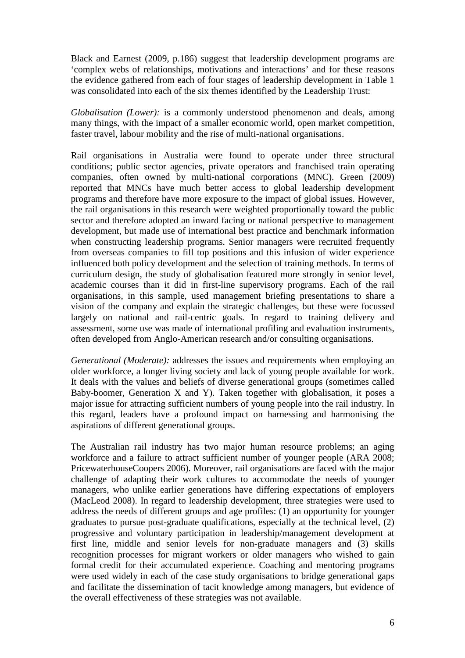Black and Earnest (2009, p.186) suggest that leadership development programs are 'complex webs of relationships, motivations and interactions' and for these reasons the evidence gathered from each of four stages of leadership development in Table 1 was consolidated into each of the six themes identified by the Leadership Trust:

*Globalisation (Lower):* is a commonly understood phenomenon and deals, among many things, with the impact of a smaller economic world, open market competition, faster travel, labour mobility and the rise of multi-national organisations.

Rail organisations in Australia were found to operate under three structural conditions; public sector agencies, private operators and franchised train operating companies, often owned by multi-national corporations (MNC). Green (2009) reported that MNCs have much better access to global leadership development programs and therefore have more exposure to the impact of global issues. However, the rail organisations in this research were weighted proportionally toward the public sector and therefore adopted an inward facing or national perspective to management development, but made use of international best practice and benchmark information when constructing leadership programs. Senior managers were recruited frequently from overseas companies to fill top positions and this infusion of wider experience influenced both policy development and the selection of training methods. In terms of curriculum design, the study of globalisation featured more strongly in senior level, academic courses than it did in first-line supervisory programs. Each of the rail organisations, in this sample, used management briefing presentations to share a vision of the company and explain the strategic challenges, but these were focussed largely on national and rail-centric goals. In regard to training delivery and assessment, some use was made of international profiling and evaluation instruments, often developed from Anglo-American research and/or consulting organisations.

*Generational (Moderate):* addresses the issues and requirements when employing an older workforce, a longer living society and lack of young people available for work. It deals with the values and beliefs of diverse generational groups (sometimes called Baby-boomer, Generation X and Y). Taken together with globalisation, it poses a major issue for attracting sufficient numbers of young people into the rail industry. In this regard, leaders have a profound impact on harnessing and harmonising the aspirations of different generational groups.

The Australian rail industry has two major human resource problems; an aging workforce and a failure to attract sufficient number of younger people (ARA 2008; PricewaterhouseCoopers 2006). Moreover, rail organisations are faced with the major challenge of adapting their work cultures to accommodate the needs of younger managers, who unlike earlier generations have differing expectations of employers (MacLeod 2008). In regard to leadership development, three strategies were used to address the needs of different groups and age profiles: (1) an opportunity for younger graduates to pursue post-graduate qualifications, especially at the technical level, (2) progressive and voluntary participation in leadership/management development at first line, middle and senior levels for non-graduate managers and (3) skills recognition processes for migrant workers or older managers who wished to gain formal credit for their accumulated experience. Coaching and mentoring programs were used widely in each of the case study organisations to bridge generational gaps and facilitate the dissemination of tacit knowledge among managers, but evidence of the overall effectiveness of these strategies was not available.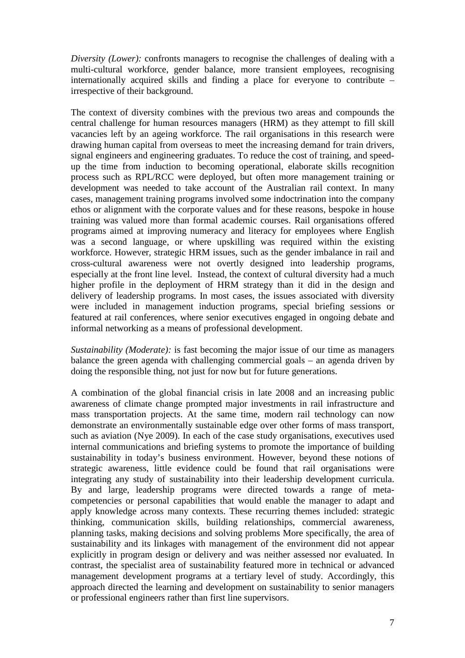*Diversity (Lower):* confronts managers to recognise the challenges of dealing with a multi-cultural workforce, gender balance, more transient employees, recognising internationally acquired skills and finding a place for everyone to contribute – irrespective of their background.

The context of diversity combines with the previous two areas and compounds the central challenge for human resources managers (HRM) as they attempt to fill skill vacancies left by an ageing workforce. The rail organisations in this research were drawing human capital from overseas to meet the increasing demand for train drivers, signal engineers and engineering graduates. To reduce the cost of training, and speedup the time from induction to becoming operational, elaborate skills recognition process such as RPL/RCC were deployed, but often more management training or development was needed to take account of the Australian rail context. In many cases, management training programs involved some indoctrination into the company ethos or alignment with the corporate values and for these reasons, bespoke in house training was valued more than formal academic courses. Rail organisations offered programs aimed at improving numeracy and literacy for employees where English was a second language, or where upskilling was required within the existing workforce. However, strategic HRM issues, such as the gender imbalance in rail and cross-cultural awareness were not overtly designed into leadership programs, especially at the front line level. Instead, the context of cultural diversity had a much higher profile in the deployment of HRM strategy than it did in the design and delivery of leadership programs. In most cases, the issues associated with diversity were included in management induction programs, special briefing sessions or featured at rail conferences, where senior executives engaged in ongoing debate and informal networking as a means of professional development.

*Sustainability (Moderate):* is fast becoming the major issue of our time as managers balance the green agenda with challenging commercial goals – an agenda driven by doing the responsible thing, not just for now but for future generations.

A combination of the global financial crisis in late 2008 and an increasing public awareness of climate change prompted major investments in rail infrastructure and mass transportation projects. At the same time, modern rail technology can now demonstrate an environmentally sustainable edge over other forms of mass transport, such as aviation (Nye 2009). In each of the case study organisations, executives used internal communications and briefing systems to promote the importance of building sustainability in today's business environment. However, beyond these notions of strategic awareness, little evidence could be found that rail organisations were integrating any study of sustainability into their leadership development curricula. By and large, leadership programs were directed towards a range of metacompetencies or personal capabilities that would enable the manager to adapt and apply knowledge across many contexts. These recurring themes included: strategic thinking, communication skills, building relationships, commercial awareness, planning tasks, making decisions and solving problems More specifically, the area of sustainability and its linkages with management of the environment did not appear explicitly in program design or delivery and was neither assessed nor evaluated. In contrast, the specialist area of sustainability featured more in technical or advanced management development programs at a tertiary level of study. Accordingly, this approach directed the learning and development on sustainability to senior managers or professional engineers rather than first line supervisors.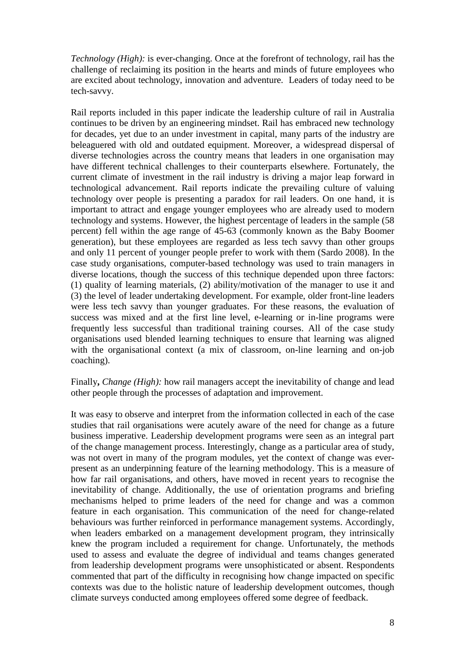*Technology (High):* is ever-changing. Once at the forefront of technology, rail has the challenge of reclaiming its position in the hearts and minds of future employees who are excited about technology, innovation and adventure. Leaders of today need to be tech-savvy.

Rail reports included in this paper indicate the leadership culture of rail in Australia continues to be driven by an engineering mindset. Rail has embraced new technology for decades, yet due to an under investment in capital, many parts of the industry are beleaguered with old and outdated equipment. Moreover, a widespread dispersal of diverse technologies across the country means that leaders in one organisation may have different technical challenges to their counterparts elsewhere. Fortunately, the current climate of investment in the rail industry is driving a major leap forward in technological advancement. Rail reports indicate the prevailing culture of valuing technology over people is presenting a paradox for rail leaders. On one hand, it is important to attract and engage younger employees who are already used to modern technology and systems. However, the highest percentage of leaders in the sample (58 percent) fell within the age range of 45-63 (commonly known as the Baby Boomer generation), but these employees are regarded as less tech savvy than other groups and only 11 percent of younger people prefer to work with them (Sardo 2008). In the case study organisations, computer-based technology was used to train managers in diverse locations, though the success of this technique depended upon three factors: (1) quality of learning materials, (2) ability/motivation of the manager to use it and (3) the level of leader undertaking development. For example, older front-line leaders were less tech savvy than younger graduates. For these reasons, the evaluation of success was mixed and at the first line level, e-learning or in-line programs were frequently less successful than traditional training courses. All of the case study organisations used blended learning techniques to ensure that learning was aligned with the organisational context (a mix of classroom, on-line learning and on-job coaching).

Finally**,** *Change (High):* how rail managers accept the inevitability of change and lead other people through the processes of adaptation and improvement.

It was easy to observe and interpret from the information collected in each of the case studies that rail organisations were acutely aware of the need for change as a future business imperative. Leadership development programs were seen as an integral part of the change management process. Interestingly, change as a particular area of study, was not overt in many of the program modules, yet the context of change was everpresent as an underpinning feature of the learning methodology. This is a measure of how far rail organisations, and others, have moved in recent years to recognise the inevitability of change. Additionally, the use of orientation programs and briefing mechanisms helped to prime leaders of the need for change and was a common feature in each organisation. This communication of the need for change-related behaviours was further reinforced in performance management systems. Accordingly, when leaders embarked on a management development program, they intrinsically knew the program included a requirement for change. Unfortunately, the methods used to assess and evaluate the degree of individual and teams changes generated from leadership development programs were unsophisticated or absent. Respondents commented that part of the difficulty in recognising how change impacted on specific contexts was due to the holistic nature of leadership development outcomes, though climate surveys conducted among employees offered some degree of feedback.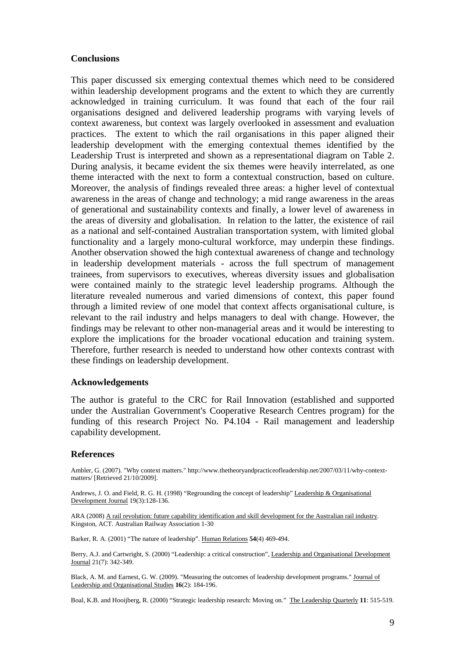# **Conclusions**

This paper discussed six emerging contextual themes which need to be considered within leadership development programs and the extent to which they are currently acknowledged in training curriculum. It was found that each of the four rail organisations designed and delivered leadership programs with varying levels of context awareness, but context was largely overlooked in assessment and evaluation practices. The extent to which the rail organisations in this paper aligned their leadership development with the emerging contextual themes identified by the Leadership Trust is interpreted and shown as a representational diagram on Table 2. During analysis, it became evident the six themes were heavily interrelated, as one theme interacted with the next to form a contextual construction, based on culture. Moreover, the analysis of findings revealed three areas: a higher level of contextual awareness in the areas of change and technology; a mid range awareness in the areas of generational and sustainability contexts and finally, a lower level of awareness in the areas of diversity and globalisation. In relation to the latter, the existence of rail as a national and self-contained Australian transportation system, with limited global functionality and a largely mono-cultural workforce, may underpin these findings. Another observation showed the high contextual awareness of change and technology in leadership development materials - across the full spectrum of management trainees, from supervisors to executives, whereas diversity issues and globalisation were contained mainly to the strategic level leadership programs. Although the literature revealed numerous and varied dimensions of context, this paper found through a limited review of one model that context affects organisational culture, is relevant to the rail industry and helps managers to deal with change. However, the findings may be relevant to other non-managerial areas and it would be interesting to explore the implications for the broader vocational education and training system. Therefore, further research is needed to understand how other contexts contrast with these findings on leadership development.

#### **Acknowledgements**

The author is grateful to the CRC for Rail Innovation (established and supported under the Australian Government's Cooperative Research Centres program) for the funding of this research Project No. P4.104 - Rail management and leadership capability development.

#### **References**

Ambler, G. (2007). "Why context matters." http://www.thetheoryandpracticeofleadership.net/2007/03/11/why-contextmatters/ [Retrieved 21/10/2009].

Andrews, J. O. and Field, R. G. H. (1998) "Regrounding the concept of leadership" Leadership & Organisational Development Journal 19(3):128-136.

ARA (2008) A rail revolution: future capability identification and skill development for the Australian rail industry. Kingston, ACT. Australian Railway Association 1-30

Barker, R. A. (2001) "The nature of leadership". Human Relations **54**(4) 469-494.

Berry, A.J. and Cartwright, S. (2000) "Leadership: a critical construction", Leadership and Organisational Development Journal 21(7): 342-349.

Black, A. M. and Earnest, G. W. (2009). "Measuring the outcomes of leadership development programs." Journal of Leadership and Organisational Studies **16**(2): 184-196.

Boal, K.B. and Hooijberg, R. (2000) "Strategic leadership research: Moving on." The Leadership Quarterly **11**: 515-519.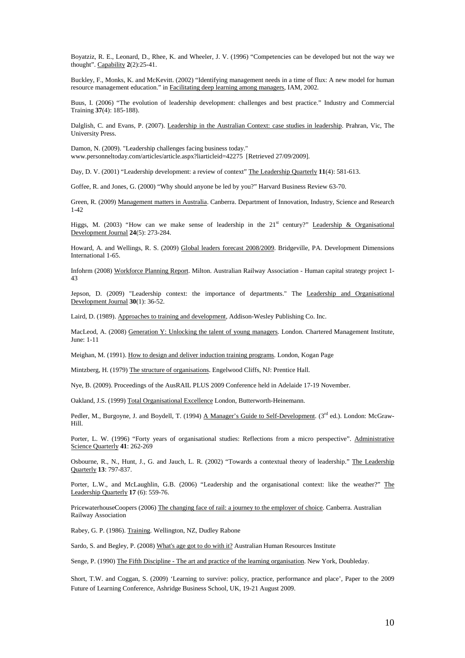Boyatziz, R. E., Leonard, D., Rhee, K. and Wheeler, J. V. (1996) "Competencies can be developed but not the way we thought". Capability **2**(2):25-41.

Buckley, F., Monks, K. and McKevitt. (2002) "Identifying management needs in a time of flux: A new model for human resource management education." in Facilitating deep learning among managers, IAM, 2002.

Buus, I. (2006) "The evolution of leadership development: challenges and best practice." Industry and Commercial Training **37**(4): 185-188).

Dalglish, C. and Evans, P. (2007). Leadership in the Australian Context: case studies in leadership. Prahran, Vic, The University Press.

Damon, N. (2009). "Leadership challenges facing business today." www.personneltoday.com/articles/article.aspx?liarticleid=42275 [Retrieved 27/09/2009].

Day, D. V. (2001) "Leadership development: a review of context" The Leadership Quarterly **11**(4): 581-613.

Goffee, R. and Jones, G. (2000) "Why should anyone be led by you?" Harvard Business Review 63-70.

Green, R. (2009) Management matters in Australia. Canberra. Department of Innovation, Industry, Science and Research 1-42

Higgs, M. (2003) "How can we make sense of leadership in the  $21<sup>st</sup>$  century?" Leadership & Organisational Development Journal **24**(5): 273-284.

Howard, A. and Wellings, R. S. (2009) Global leaders forecast 2008/2009. Bridgeville, PA. Development Dimensions International 1-65.

Infohrm (2008) Workforce Planning Report. Milton. Australian Railway Association - Human capital strategy project 1- 43

Jepson, D. (2009) "Leadership context: the importance of departments." The Leadership and Organisational Development Journal **30**(1): 36-52.

Laird, D. (1989). Approaches to training and development, Addison-Wesley Publishing Co. Inc.

MacLeod, A. (2008) Generation Y: Unlocking the talent of young managers. London. Chartered Management Institute, June: 1-11

Meighan, M. (1991). How to design and deliver induction training programs. London, Kogan Page

Mintzberg, H. (1979) The structure of organisations. Engelwood Cliffs, NJ: Prentice Hall.

Nye, B. (2009). Proceedings of the AusRAIL PLUS 2009 Conference held in Adelaide 17-19 November.

Oakland, J.S. (1999) Total Organisational Excellence London, Butterworth-Heinemann.

Pedler, M., Burgoyne, J. and Boydell, T. (1994) A Manager's Guide to Self-Development. (3rd ed.). London: McGraw-Hill.

Porter, L. W. (1996) "Forty years of organisational studies: Reflections from a micro perspective". Administrative Science Quarterly **41**: 262-269

Osbourne, R., N., Hunt, J., G. and Jauch, L. R. (2002) "Towards a contextual theory of leadership." The Leadership Quarterly **13**: 797-837.

Porter, L.W., and McLaughlin, G.B. (2006) "Leadership and the organisational context: like the weather?" The Leadership Quarterly **17** (6): 559-76.

PricewaterhouseCoopers (2006) The changing face of rail: a journey to the employer of choice. Canberra. Australian Railway Association

Rabey, G. P. (1986). Training. Wellington, NZ, Dudley Rabone

Sardo, S. and Begley, P. (2008) What's age got to do with it? Australian Human Resources Institute

Senge, P. (1990) The Fifth Discipline - The art and practice of the learning organisation. New York, Doubleday.

Short, T.W. and Coggan, S. (2009) 'Learning to survive: policy, practice, performance and place', Paper to the 2009 Future of Learning Conference, Ashridge Business School, UK, 19-21 August 2009.